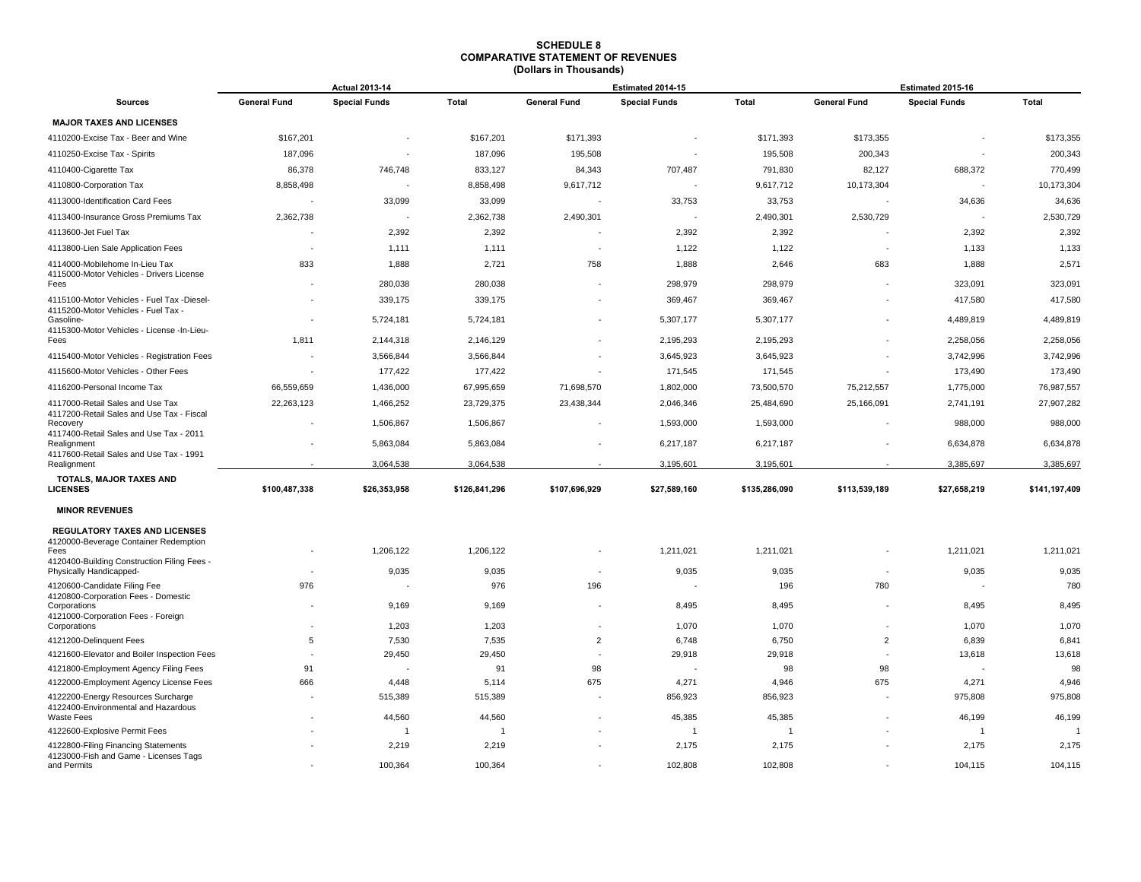|                                                                                         | <b>Actual 2013-14</b> |                         |                   |                     | Estimated 2014-15    |                  | Estimated 2015-16        |                      |                  |
|-----------------------------------------------------------------------------------------|-----------------------|-------------------------|-------------------|---------------------|----------------------|------------------|--------------------------|----------------------|------------------|
| <b>Sources</b>                                                                          | <b>General Fund</b>   | <b>Special Funds</b>    | <b>Total</b>      | <b>General Fund</b> | <b>Special Funds</b> | <b>Total</b>     | <b>General Fund</b>      | <b>Special Funds</b> | <b>Total</b>     |
| <b>MAJOR TAXES AND LICENSES</b>                                                         |                       |                         |                   |                     |                      |                  |                          |                      |                  |
| 4110200-Excise Tax - Beer and Wine                                                      | \$167,201             |                         | \$167,201         | \$171,393           |                      | \$171,393        | \$173,355                |                      | \$173,355        |
| 4110250-Excise Tax - Spirits                                                            | 187,096               |                         | 187,096           | 195,508             |                      | 195,508          | 200,343                  |                      | 200,343          |
| 4110400-Cigarette Tax                                                                   | 86,378                | 746,748                 | 833,127           | 84,343              | 707,487              | 791,830          | 82,127                   | 688,372              | 770,499          |
| 4110800-Corporation Tax                                                                 | 8,858,498             |                         | 8,858,498         | 9,617,712           | $\blacksquare$       | 9,617,712        | 10,173,304               |                      | 10,173,304       |
| 4113000-Identification Card Fees                                                        |                       | 33,099                  | 33,099            |                     | 33,753               | 33,753           |                          | 34,636               | 34,636           |
| 4113400-Insurance Gross Premiums Tax                                                    | 2,362,738             | ÷,                      | 2,362,738         | 2,490,301           |                      | 2,490,301        | 2,530,729                | ÷,                   | 2,530,729        |
| 4113600-Jet Fuel Tax                                                                    |                       | 2,392                   | 2,392             |                     | 2,392                | 2,392            |                          | 2,392                | 2,392            |
| 4113800-Lien Sale Application Fees                                                      |                       | 1,111                   | 1,111             |                     | 1,122                | 1,122            | $\sim$                   | 1,133                | 1,133            |
| 4114000-Mobilehome In-Lieu Tax<br>4115000-Motor Vehicles - Drivers License              | 833                   | 1,888                   | 2,721             | 758                 | 1,888                | 2,646            | 683                      | 1,888                | 2,571            |
| Fees                                                                                    |                       | 280,038                 | 280,038           |                     | 298,979              | 298,979          |                          | 323,091              | 323,091          |
| 4115100-Motor Vehicles - Fuel Tax -Diesel-<br>4115200-Motor Vehicles - Fuel Tax -       |                       | 339,175                 | 339,175           |                     | 369,467              | 369,467          |                          | 417,580              | 417,580          |
| Gasoline-<br>4115300-Motor Vehicles - License -In-Lieu-                                 |                       | 5,724,181               | 5,724,181         |                     | 5,307,177            | 5,307,177        |                          | 4,489,819            | 4,489,819        |
| Fees                                                                                    | 1,811                 | 2,144,318               | 2,146,129         |                     | 2,195,293            | 2,195,293        |                          | 2,258,056            | 2,258,056        |
| 4115400-Motor Vehicles - Registration Fees                                              |                       | 3,566,844               | 3,566,844         |                     | 3,645,923            | 3,645,923        |                          | 3,742,996            | 3,742,996        |
| 4115600-Motor Vehicles - Other Fees                                                     |                       | 177,422                 | 177,422           |                     | 171,545              | 171,545          |                          | 173,490              | 173,490          |
| 4116200-Personal Income Tax                                                             | 66,559,659            | 1,436,000               | 67,995,659        | 71,698,570          | 1,802,000            | 73,500,570       | 75,212,557               | 1,775,000            | 76,987,557       |
| 4117000-Retail Sales and Use Tax<br>4117200-Retail Sales and Use Tax - Fiscal           | 22,263,123            | 1,466,252               | 23,729,375        | 23,438,344          | 2,046,346            | 25,484,690       | 25,166,091               | 2,741,191            | 27,907,282       |
| Recovery<br>4117400-Retail Sales and Use Tax - 2011                                     |                       | 1,506,867               | 1,506,867         |                     | 1,593,000            | 1,593,000        |                          | 988,000              | 988,000          |
| Realignment                                                                             |                       | 5,863,084               | 5,863,084         |                     | 6,217,187            | 6,217,187        |                          | 6,634,878            | 6,634,878        |
| 4117600-Retail Sales and Use Tax - 1991<br>Realignment                                  |                       | 3,064,538               | 3,064,538         |                     | 3,195,601            | 3,195,601        |                          | 3,385,697            | 3,385,697        |
| TOTALS, MAJOR TAXES AND<br><b>LICENSES</b>                                              | \$100,487,338         | \$26,353,958            | \$126,841,296     | \$107,696,929       | \$27,589,160         | \$135,286,090    | \$113,539,189            | \$27,658,219         | \$141,197,409    |
| <b>MINOR REVENUES</b>                                                                   |                       |                         |                   |                     |                      |                  |                          |                      |                  |
| REGULATORY TAXES AND LICENSES<br>4120000-Beverage Container Redemption                  |                       |                         |                   |                     |                      |                  |                          |                      |                  |
| Fees<br>4120400-Building Construction Filing Fees -                                     |                       | 1,206,122               | 1,206,122         |                     | 1,211,021            | 1,211,021        |                          | 1,211,021            | 1,211,021        |
| Physically Handicapped-                                                                 |                       | 9,035                   | 9,035             |                     | 9,035                | 9,035            |                          | 9,035                | 9,035            |
| 4120600-Candidate Filing Fee<br>4120800-Corporation Fees - Domestic                     | 976                   |                         | 976               | 196                 |                      | 196              | 780                      |                      | 780              |
| Corporations<br>4121000-Corporation Fees - Foreign                                      |                       | 9,169                   | 9,169             |                     | 8,495                | 8,495            | $\overline{\phantom{a}}$ | 8,495                | 8,495            |
| Corporations                                                                            |                       | 1,203                   | 1,203             |                     | 1,070                | 1,070            |                          | 1,070                | 1,070            |
| 4121200-Delinquent Fees                                                                 | 5                     | 7,530                   | 7,535             | $\overline{2}$      | 6,748                | 6,750            | $\overline{2}$           | 6,839                | 6,841            |
| 4121600-Elevator and Boiler Inspection Fees                                             |                       | 29,450                  | 29,450            |                     | 29,918               | 29,918           |                          | 13,618               | 13,618           |
| 4121800-Employment Agency Filing Fees                                                   | 91                    |                         | 91                | 98                  |                      | 98               | 98                       |                      | 98               |
| 4122000-Employment Agency License Fees                                                  | 666                   | 4,448<br>515,389        | 5,114             | 675                 | 4,271                | 4,946<br>856,923 | 675                      | 4,271                | 4,946<br>975,808 |
| 4122200-Energy Resources Surcharge<br>4122400-Environmental and Hazardous<br>Waste Fees |                       | 44,560                  | 515,389<br>44,560 |                     | 856,923<br>45,385    | 45,385           |                          | 975,808<br>46,199    | 46,199           |
| 4122600-Explosive Permit Fees                                                           |                       | $\overline{\mathbf{1}}$ | -1                |                     | -1                   | $\overline{1}$   |                          | $\overline{1}$       | 1                |
| 4122800-Filing Financing Statements<br>4123000-Fish and Game - Licenses Tags            |                       | 2,219                   | 2,219             |                     | 2,175                | 2,175            |                          | 2,175                | 2,175            |
| and Permits                                                                             |                       | 100,364                 | 100,364           |                     | 102,808              | 102,808          |                          | 104,115              | 104,115          |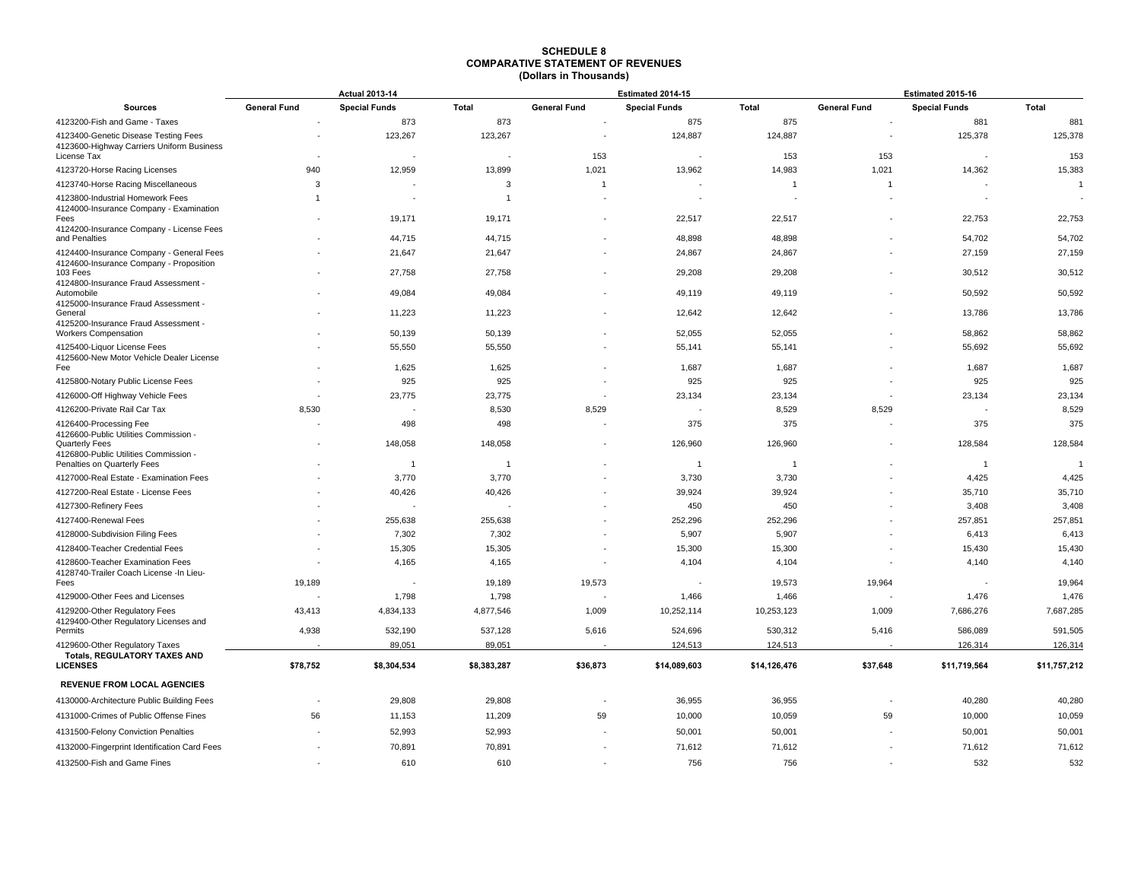|                                                                                                  | <b>Actual 2013-14</b> |                         |                    |                     | Estimated 2014-15    |                     | Estimated 2015-16   |                                   |                    |
|--------------------------------------------------------------------------------------------------|-----------------------|-------------------------|--------------------|---------------------|----------------------|---------------------|---------------------|-----------------------------------|--------------------|
| <b>Sources</b>                                                                                   | <b>General Fund</b>   | <b>Special Funds</b>    | <b>Total</b>       | <b>General Fund</b> | <b>Special Funds</b> | Total               | <b>General Fund</b> | <b>Special Funds</b>              | <b>Total</b>       |
| 4123200-Fish and Game - Taxes                                                                    |                       | 873                     | 873                |                     | 875                  | 875                 |                     | 881                               | 881                |
| 4123400-Genetic Disease Testing Fees<br>4123600-Highway Carriers Uniform Business<br>License Tax |                       | 123,267                 | 123,267            | 153                 | 124,887              | 124,887<br>153      | 153                 | 125,378                           | 125,378<br>153     |
| 4123720-Horse Racing Licenses                                                                    | 940                   | 12,959                  | 13,899             | 1,021               | 13,962               | 14,983              | 1,021               | 14,362                            | 15,383             |
| 4123740-Horse Racing Miscellaneous                                                               | 3                     |                         | 3                  | $\overline{1}$      |                      | $\overline{1}$      | $\mathbf{1}$        |                                   | $\overline{1}$     |
| 4123800-Industrial Homework Fees<br>4124000-Insurance Company - Examination                      |                       |                         | 1                  |                     |                      |                     |                     |                                   |                    |
| Fees<br>4124200-Insurance Company - License Fees                                                 |                       | 19,171                  | 19,171             |                     | 22,517               | 22,517              |                     | 22,753                            | 22,753             |
| and Penalties                                                                                    |                       | 44,715                  | 44,715             |                     | 48,898               | 48,898              |                     | 54,702                            | 54,702             |
| 4124400-Insurance Company - General Fees<br>4124600-Insurance Company - Proposition              |                       | 21,647                  | 21,647             |                     | 24,867               | 24,867              |                     | 27,159                            | 27,159             |
| 103 Fees<br>4124800-Insurance Fraud Assessment -                                                 |                       | 27,758                  | 27,758             |                     | 29,208               | 29,208              |                     | 30,512                            | 30,512             |
| Automobile<br>4125000-Insurance Fraud Assessment -<br>General                                    |                       | 49,084<br>11,223        | 49,084<br>11,223   |                     | 49,119<br>12,642     | 49,119<br>12,642    |                     | 50,592<br>13,786                  | 50,592<br>13,786   |
| 4125200-Insurance Fraud Assessment -<br><b>Workers Compensation</b>                              |                       | 50,139                  | 50,139             |                     | 52,055               | 52,055              |                     | 58,862                            | 58,862             |
| 4125400-Liquor License Fees<br>4125600-New Motor Vehicle Dealer License                          |                       | 55,550                  | 55,550             |                     | 55,141               | 55,141              |                     | 55,692                            | 55,692             |
| Fee                                                                                              |                       | 1,625                   | 1,625              |                     | 1,687                | 1,687               |                     | 1,687                             | 1,687              |
| 4125800-Notary Public License Fees                                                               |                       | 925                     | 925                |                     | 925                  | 925                 |                     | 925                               | 925                |
| 4126000-Off Highway Vehicle Fees                                                                 |                       | 23,775                  | 23,775             |                     | 23,134               | 23,134              |                     | 23,134                            | 23,134             |
| 4126200-Private Rail Car Tax                                                                     | 8,530                 |                         | 8,530              | 8,529               |                      | 8,529               | 8,529               |                                   | 8,529              |
| 4126400-Processing Fee<br>4126600-Public Utilities Commission -                                  |                       | 498                     | 498                |                     | 375                  | 375                 |                     | 375                               | 375                |
| <b>Quarterly Fees</b><br>4126800-Public Utilities Commission -                                   |                       | 148,058                 | 148,058            |                     | 126,960              | 126,960             |                     | 128,584                           | 128,584            |
| Penalties on Quarterly Fees                                                                      |                       | $\overline{\mathbf{1}}$ | $\overline{1}$     |                     | $\overline{1}$       | $\overline{1}$      |                     | $\overline{1}$                    |                    |
| 4127000-Real Estate - Examination Fees                                                           |                       | 3,770                   | 3,770              |                     | 3,730                | 3,730               |                     | 4,425                             | 4,425              |
| 4127200-Real Estate - License Fees                                                               |                       | 40,426                  | 40,426             |                     | 39,924               | 39,924              |                     | 35,710                            | 35,710             |
| 4127300-Refinery Fees                                                                            |                       |                         |                    |                     | 450                  | 450                 |                     | 3,408                             | 3,408              |
| 4127400-Renewal Fees                                                                             |                       | 255,638                 | 255,638            |                     | 252,296              | 252,296             |                     | 257,851                           | 257,851            |
| 4128000-Subdivision Filing Fees                                                                  |                       | 7,302                   | 7,302              |                     | 5,907                | 5,907               |                     | 6,413                             | 6,413              |
| 4128400-Teacher Credential Fees                                                                  |                       | 15,305                  | 15,305             |                     | 15,300               | 15,300              |                     | 15,430                            | 15,430             |
| 4128600-Teacher Examination Fees<br>4128740-Trailer Coach License -In Lieu-                      | 19,189                | 4,165                   | 4,165              |                     | 4,104                | 4,104               |                     | 4,140<br>$\overline{\phantom{a}}$ | 4,140<br>19,964    |
| Fees                                                                                             |                       |                         | 19,189             | 19,573              |                      | 19,573              | 19,964              |                                   |                    |
| 4129000-Other Fees and Licenses<br>4129200-Other Regulatory Fees                                 | 43,413                | 1,798<br>4,834,133      | 1,798<br>4,877,546 | 1,009               | 1,466<br>10,252,114  | 1,466<br>10,253,123 | 1,009               | 1,476<br>7,686,276                | 1,476<br>7,687,285 |
| 4129400-Other Regulatory Licenses and<br>Permits                                                 | 4,938                 | 532,190                 | 537,128            | 5,616               | 524,696              | 530,312             | 5,416               | 586,089                           | 591,505            |
| 4129600-Other Regulatory Taxes                                                                   |                       | 89,051                  | 89,051             |                     | 124,513              | 124,513             |                     | 126,314                           | 126,314            |
| <b>Totals, REGULATORY TAXES AND</b><br><b>LICENSES</b>                                           | \$78,752              | \$8,304,534             | \$8,383,287        | \$36,873            | \$14,089,603         | \$14,126,476        | \$37,648            | \$11,719,564                      | \$11,757,212       |
| <b>REVENUE FROM LOCAL AGENCIES</b>                                                               |                       |                         |                    |                     |                      |                     |                     |                                   |                    |
| 4130000-Architecture Public Building Fees                                                        |                       | 29,808                  | 29,808             |                     | 36,955               | 36,955              |                     | 40,280                            | 40,280             |
| 4131000-Crimes of Public Offense Fines                                                           | 56                    | 11,153                  | 11,209             | 59                  | 10,000               | 10,059              | 59                  | 10,000                            | 10,059             |
| 4131500-Felony Conviction Penalties                                                              |                       | 52,993                  | 52,993             |                     | 50,001               | 50,001              |                     | 50,001                            | 50,001             |
| 4132000-Fingerprint Identification Card Fees                                                     |                       | 70,891                  | 70,891             |                     | 71,612               | 71,612              |                     | 71,612                            | 71,612             |
| 4132500-Fish and Game Fines                                                                      |                       | 610                     | 610                |                     | 756                  | 756                 |                     | 532                               | 532                |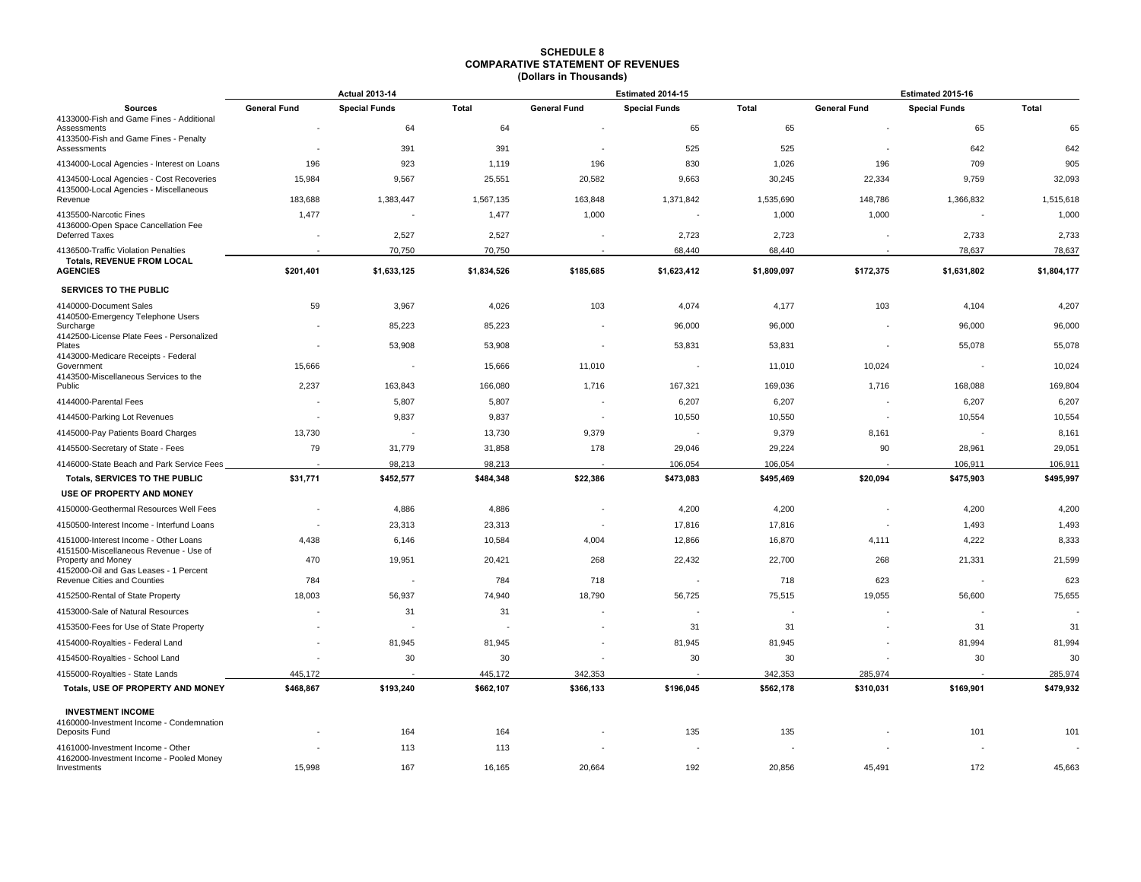|                                                                       | <b>Actual 2013-14</b> |                          |              |                          | Estimated 2014-15    |             | Estimated 2015-16   |                          |             |
|-----------------------------------------------------------------------|-----------------------|--------------------------|--------------|--------------------------|----------------------|-------------|---------------------|--------------------------|-------------|
| <b>Sources</b>                                                        | <b>General Fund</b>   | <b>Special Funds</b>     | <b>Total</b> | <b>General Fund</b>      | <b>Special Funds</b> | Total       | <b>General Fund</b> | <b>Special Funds</b>     | Total       |
| 4133000-Fish and Game Fines - Additional<br>Assessments               |                       | 64                       | 64           |                          | 65                   | 65          |                     | 65                       | 65          |
| 4133500-Fish and Game Fines - Penalty<br>Assessments                  |                       | 391                      | 391          |                          | 525                  | 525         |                     | 642                      | 642         |
| 4134000-Local Agencies - Interest on Loans                            | 196                   | 923                      | 1,119        | 196                      | 830                  | 1,026       | 196                 | 709                      | 905         |
| 4134500-Local Agencies - Cost Recoveries                              | 15,984                | 9,567                    | 25,551       | 20,582                   | 9,663                | 30,245      | 22,334              | 9,759                    | 32,093      |
| 4135000-Local Agencies - Miscellaneous<br>Revenue                     | 183,688               | 1,383,447                | 1,567,135    | 163,848                  | 1,371,842            | 1,535,690   | 148,786             | 1,366,832                | 1,515,618   |
| 4135500-Narcotic Fines                                                | 1,477                 |                          | 1,477        | 1,000                    |                      | 1,000       | 1,000               | $\overline{\phantom{a}}$ | 1,000       |
| 4136000-Open Space Cancellation Fee<br>Deferred Taxes                 |                       | 2,527                    | 2,527        |                          | 2,723                | 2,723       |                     | 2,733                    | 2,733       |
| 4136500-Traffic Violation Penalties                                   |                       | 70,750                   | 70,750       |                          | 68,440               | 68,440      |                     | 78,637                   | 78,637      |
| <b>Totals, REVENUE FROM LOCAL</b><br><b>AGENCIES</b>                  | \$201,401             | \$1,633,125              | \$1,834,526  | \$185,685                | \$1,623,412          | \$1,809,097 | \$172,375           | \$1,631,802              | \$1,804,177 |
| SERVICES TO THE PUBLIC                                                |                       |                          |              |                          |                      |             |                     |                          |             |
| 4140000-Document Sales                                                | 59                    | 3,967                    | 4,026        | 103                      | 4,074                | 4,177       | 103                 | 4,104                    | 4,207       |
| 4140500-Emergency Telephone Users                                     |                       |                          |              |                          |                      |             |                     |                          |             |
| Surcharge<br>4142500-License Plate Fees - Personalized                |                       | 85,223                   | 85,223       |                          | 96,000               | 96,000      |                     | 96,000                   | 96,000      |
| Plates                                                                |                       | 53,908                   | 53,908       |                          | 53,831               | 53,831      |                     | 55,078                   | 55,078      |
| 4143000-Medicare Receipts - Federal<br>Government                     | 15,666                | $\overline{\phantom{a}}$ | 15,666       | 11,010                   |                      | 11,010      | 10,024              | $\overline{\phantom{a}}$ | 10,024      |
| 4143500-Miscellaneous Services to the<br>Public                       | 2,237                 | 163,843                  | 166,080      | 1,716                    | 167,321              | 169,036     | 1,716               | 168,088                  | 169,804     |
| 4144000-Parental Fees                                                 |                       | 5,807                    | 5,807        |                          | 6,207                | 6,207       |                     | 6,207                    | 6,207       |
| 4144500-Parking Lot Revenues                                          | ٠                     | 9,837                    | 9,837        | $\overline{\phantom{a}}$ | 10,550               | 10,550      | $\sim$              | 10,554                   | 10,554      |
| 4145000-Pay Patients Board Charges                                    | 13,730                |                          | 13,730       | 9,379                    |                      | 9,379       | 8,161               |                          | 8,161       |
| 4145500-Secretary of State - Fees                                     | 79                    | 31,779                   | 31,858       | 178                      | 29,046               | 29,224      | 90                  | 28,961                   | 29,051      |
| 4146000-State Beach and Park Service Fees                             |                       | 98,213                   | 98,213       |                          | 106,054              | 106,054     |                     | 106,911                  | 106,911     |
| Totals, SERVICES TO THE PUBLIC                                        | \$31,771              | \$452,577                | \$484,348    | \$22,386                 | \$473,083            | \$495,469   | \$20,094            | \$475,903                | \$495,997   |
| USE OF PROPERTY AND MONEY                                             |                       |                          |              |                          |                      |             |                     |                          |             |
| 4150000-Geothermal Resources Well Fees                                |                       | 4,886                    | 4,886        |                          | 4,200                | 4,200       |                     | 4,200                    | 4,200       |
| 4150500-Interest Income - Interfund Loans                             | $\sim$                | 23,313                   | 23,313       |                          | 17,816               | 17,816      |                     | 1,493                    | 1,493       |
| 4151000-Interest Income - Other Loans                                 | 4,438                 | 6,146                    | 10,584       | 4,004                    | 12,866               | 16,870      | 4,111               | 4,222                    | 8,333       |
| 4151500-Miscellaneous Revenue - Use of<br>Property and Money          | 470                   | 19,951                   | 20,421       | 268                      | 22,432               | 22,700      | 268                 | 21,331                   | 21,599      |
| 4152000-Oil and Gas Leases - 1 Percent<br>Revenue Cities and Counties | 784                   |                          | 784          | 718                      |                      | 718         | 623                 |                          | 623         |
| 4152500-Rental of State Property                                      | 18,003                | 56,937                   | 74,940       | 18,790                   | 56,725               | 75,515      | 19,055              | 56,600                   | 75,655      |
| 4153000-Sale of Natural Resources                                     |                       | 31                       | 31           |                          |                      |             |                     |                          |             |
| 4153500-Fees for Use of State Property                                |                       |                          |              |                          | 31                   | 31          |                     | 31                       | 31          |
| 4154000-Royalties - Federal Land                                      | $\sim$                | 81,945                   | 81,945       |                          | 81,945               | 81,945      |                     | 81,994                   | 81,994      |
| 4154500-Royalties - School Land                                       |                       | 30                       | 30           |                          | 30                   | 30          |                     | 30                       | 30          |
| 4155000-Royalties - State Lands                                       | 445,172               |                          | 445,172      | 342,353                  |                      | 342,353     | 285,974             |                          | 285,974     |
| Totals, USE OF PROPERTY AND MONEY                                     | \$468,867             | \$193,240                | \$662,107    | \$366,133                | \$196,045            | \$562,178   | \$310,031           | \$169,901                | \$479,932   |
| <b>INVESTMENT INCOME</b>                                              |                       |                          |              |                          |                      |             |                     |                          |             |
| 4160000-Investment Income - Condemnation                              |                       | 164                      | 164          |                          | 135                  | 135         |                     | 101                      | 101         |
| Deposits Fund<br>4161000-Investment Income - Other                    |                       | 113                      | 113          |                          |                      |             |                     | ٠.                       |             |
| 4162000-Investment Income - Pooled Money                              |                       |                          |              |                          |                      |             |                     |                          |             |
| Investments                                                           | 15,998                | 167                      | 16,165       | 20,664                   | 192                  | 20,856      | 45,491              | 172                      | 45,663      |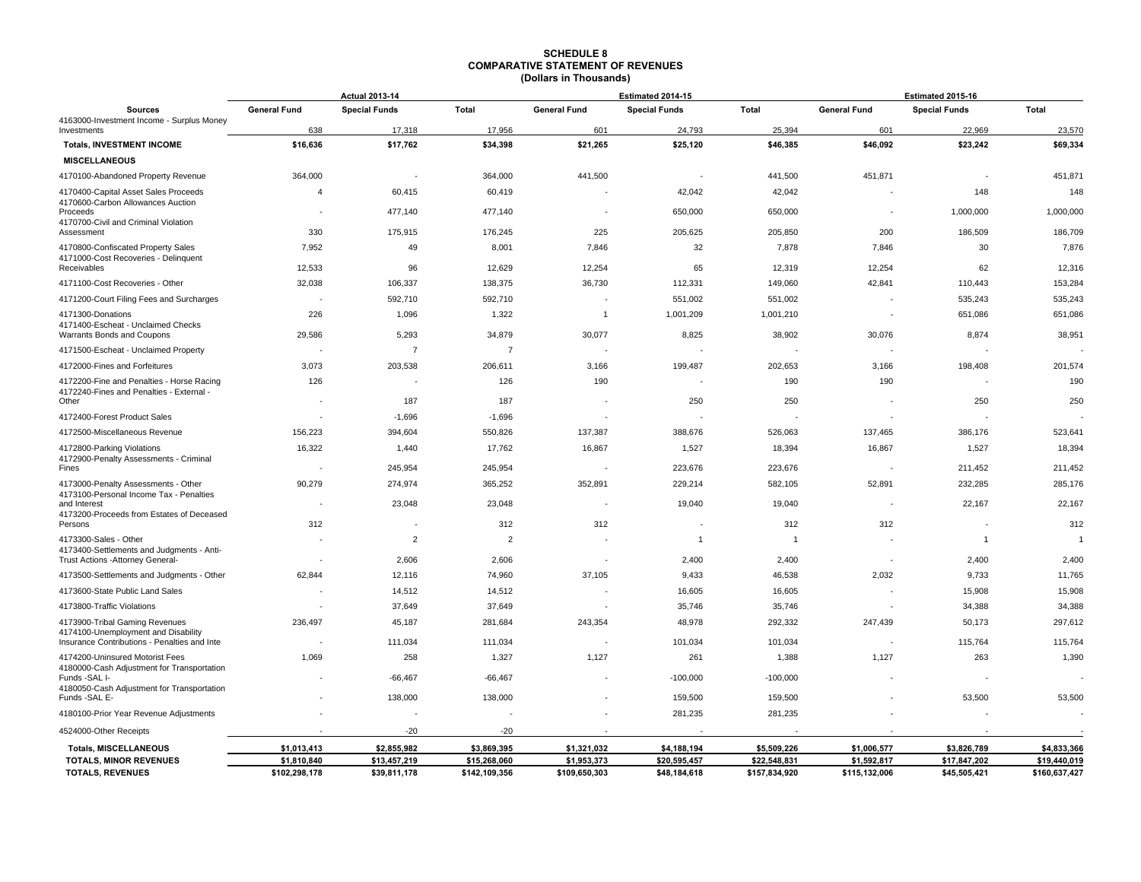|                                                                                     |                          | <b>Actual 2013-14</b> |                |                     | Estimated 2014-15    |                | Estimated 2015-16        |                          |               |
|-------------------------------------------------------------------------------------|--------------------------|-----------------------|----------------|---------------------|----------------------|----------------|--------------------------|--------------------------|---------------|
| <b>Sources</b><br>4163000-Investment Income - Surplus Money                         | <b>General Fund</b>      | <b>Special Funds</b>  | <b>Total</b>   | <b>General Fund</b> | <b>Special Funds</b> | <b>Total</b>   | <b>General Fund</b>      | <b>Special Funds</b>     | <b>Total</b>  |
| Investments                                                                         | 638                      | 17,318                | 17,956         | 601                 | 24,793               | 25,394         | 601                      | 22,969                   | 23,570        |
| <b>Totals, INVESTMENT INCOME</b>                                                    | \$16,636                 | \$17,762              | \$34,398       | \$21,265            | \$25,120             | \$46,385       | \$46,092                 | \$23,242                 | \$69,334      |
| <b>MISCELLANEOUS</b>                                                                |                          |                       |                |                     |                      |                |                          |                          |               |
| 4170100-Abandoned Property Revenue                                                  | 364,000                  |                       | 364,000        | 441,500             |                      | 441,500        | 451,871                  | ÷,                       | 451,871       |
| 4170400-Capital Asset Sales Proceeds                                                | $\overline{4}$           | 60,415                | 60,419         |                     | 42,042               | 42,042         |                          | 148                      | 148           |
| 4170600-Carbon Allowances Auction<br>Proceeds                                       | $\blacksquare$           | 477,140               | 477,140        |                     | 650,000              | 650,000        |                          | 1,000,000                | 1,000,000     |
| 4170700-Civil and Criminal Violation<br>Assessment                                  | 330                      | 175,915               | 176,245        | 225                 | 205,625              | 205,850        | 200                      | 186,509                  | 186,709       |
| 4170800-Confiscated Property Sales                                                  | 7,952                    | 49                    | 8,001          | 7,846               | 32                   | 7,878          | 7,846                    | 30                       | 7,876         |
| 4171000-Cost Recoveries - Delinquent<br>Receivables                                 | 12,533                   | 96                    | 12,629         | 12,254              | 65                   | 12,319         | 12,254                   | 62                       | 12,316        |
| 4171100-Cost Recoveries - Other                                                     | 32,038                   | 106,337               | 138,375        | 36,730              | 112,331              | 149,060        | 42,841                   | 110,443                  | 153,284       |
| 4171200-Court Filing Fees and Surcharges                                            | $\overline{\phantom{a}}$ | 592,710               | 592,710        |                     | 551,002              | 551,002        |                          | 535,243                  | 535,243       |
| 4171300-Donations                                                                   | 226                      | 1,096                 | 1,322          | $\overline{1}$      | 1,001,209            | 1,001,210      |                          | 651,086                  | 651,086       |
| 4171400-Escheat - Unclaimed Checks                                                  |                          |                       |                |                     |                      |                |                          |                          |               |
| Warrants Bonds and Coupons                                                          | 29,586                   | 5,293                 | 34,879         | 30,077              | 8,825                | 38,902         | 30,076                   | 8,874                    | 38,951        |
| 4171500-Escheat - Unclaimed Property                                                |                          | $\overline{7}$        | $\overline{7}$ |                     |                      |                |                          | ÷                        |               |
| 4172000-Fines and Forfeitures                                                       | 3,073                    | 203,538               | 206,611        | 3,166               | 199,487              | 202,653        | 3,166                    | 198,408                  | 201,574       |
| 4172200-Fine and Penalties - Horse Racing<br>4172240-Fines and Penalties - External | 126                      |                       | 126            | 190                 |                      | 190            | 190                      | $\overline{\phantom{a}}$ | 190           |
| Other                                                                               | $\overline{\phantom{a}}$ | 187                   | 187            |                     | 250                  | 250            |                          | 250                      | 250           |
| 4172400-Forest Product Sales                                                        | $\sim$                   | $-1,696$              | $-1,696$       |                     |                      |                |                          |                          |               |
| 4172500-Miscellaneous Revenue                                                       | 156,223                  | 394,604               | 550,826        | 137,387             | 388,676              | 526,063        | 137,465                  | 386,176                  | 523,641       |
| 4172800-Parking Violations<br>4172900-Penalty Assessments - Criminal                | 16,322                   | 1,440                 | 17,762         | 16,867              | 1,527                | 18,394         | 16,867                   | 1,527                    | 18,394        |
| Fines                                                                               |                          | 245,954               | 245,954        |                     | 223,676              | 223,676        |                          | 211,452                  | 211,452       |
| 4173000-Penalty Assessments - Other                                                 | 90,279                   | 274,974               | 365,252        | 352,891             | 229,214              | 582,105        | 52,891                   | 232,285                  | 285,176       |
| 4173100-Personal Income Tax - Penalties<br>and Interest                             | $\sim$                   | 23,048                | 23,048         | $\sim$              | 19,040               | 19,040         | $\overline{\phantom{a}}$ | 22,167                   | 22,167        |
| 4173200-Proceeds from Estates of Deceased<br>Persons                                | 312                      |                       | 312            | 312                 |                      | 312            | 312                      |                          | 312           |
| 4173300-Sales - Other                                                               |                          | $\overline{2}$        | $\overline{2}$ |                     | $\overline{1}$       | $\overline{1}$ |                          | $\overline{1}$           |               |
| 4173400-Settlements and Judgments - Anti-                                           |                          |                       |                |                     |                      |                |                          |                          |               |
| Trust Actions - Attorney General-                                                   |                          | 2,606                 | 2,606          |                     | 2,400                | 2,400          | $\sim$                   | 2,400                    | 2,400         |
| 4173500-Settlements and Judgments - Other                                           | 62,844                   | 12,116                | 74,960         | 37,105              | 9,433                | 46,538         | 2,032                    | 9,733                    | 11,765        |
| 4173600-State Public Land Sales                                                     |                          | 14,512                | 14,512         |                     | 16,605               | 16,605         |                          | 15,908                   | 15,908        |
| 4173800-Traffic Violations                                                          |                          | 37,649                | 37,649         |                     | 35,746               | 35,746         |                          | 34,388                   | 34,388        |
| 4173900-Tribal Gaming Revenues<br>4174100-Unemployment and Disability               | 236,497                  | 45,187                | 281,684        | 243,354             | 48,978               | 292,332        | 247,439                  | 50,173                   | 297,612       |
| Insurance Contributions - Penalties and Inte                                        | $\overline{\phantom{a}}$ | 111,034               | 111,034        |                     | 101,034              | 101,034        |                          | 115,764                  | 115,764       |
| 4174200-Uninsured Motorist Fees<br>4180000-Cash Adjustment for Transportation       | 1,069                    | 258                   | 1,327          | 1,127               | 261                  | 1,388          | 1,127                    | 263                      | 1,390         |
| Funds -SAL I-<br>4180050-Cash Adjustment for Transportation                         |                          | $-66,467$             | $-66,467$      |                     | $-100,000$           | $-100,000$     |                          | $\overline{\phantom{a}}$ |               |
| Funds -SAL E-                                                                       |                          | 138,000               | 138,000        |                     | 159,500              | 159,500        |                          | 53,500                   | 53,500        |
| 4180100-Prior Year Revenue Adjustments                                              |                          |                       |                |                     | 281,235              | 281,235        |                          |                          |               |
| 4524000-Other Receipts                                                              |                          | $-20$                 | $-20$          |                     |                      |                |                          |                          |               |
| <b>Totals, MISCELLANEOUS</b>                                                        | \$1,013,413              | \$2,855,982           | \$3,869,395    | \$1,321,032         | \$4,188,194          | \$5,509,226    | \$1,006,577              | \$3,826,789              | \$4,833,366   |
| <b>TOTALS, MINOR REVENUES</b>                                                       | \$1,810,840              | \$13,457,219          | \$15,268,060   | \$1,953,373         | \$20,595,457         | \$22,548,831   | \$1,592,817              | \$17,847,202             | \$19,440,019  |
| <b>TOTALS, REVENUES</b>                                                             | \$102,298,178            | \$39,811,178          | \$142,109,356  | \$109,650,303       | \$48,184,618         | \$157,834,920  | \$115,132,006            | \$45,505,421             | \$160,637,427 |